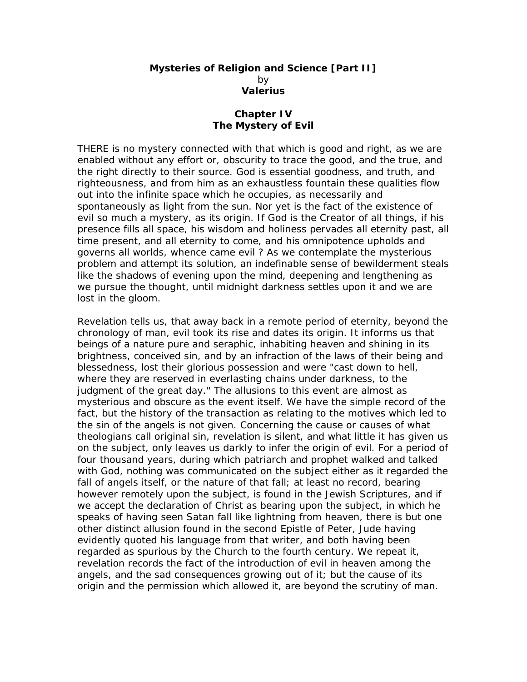## **Mysteries of Religion and Science [Part II]**  by **Valerius**

## **Chapter IV The Mystery of Evil**

THERE is no mystery connected with that which is good and right, as we are enabled without any effort or, obscurity to trace the good, and the true, and the right directly to their source. God is essential goodness, and truth, and righteousness, and from him as an exhaustless fountain these qualities flow out into the infinite space which he occupies, as necessarily and spontaneously as light from the sun. Nor yet is the fact of the existence of evil so much a mystery, as its origin. If God is the Creator of all things, if his presence fills all space, his wisdom and holiness pervades all eternity past, all time present, and all eternity to come, and his omnipotence upholds and governs all worlds, whence came evil ? As we contemplate the mysterious problem and attempt its solution, an indefinable sense of bewilderment steals like the shadows of evening upon the mind, deepening and lengthening as we pursue the thought, until midnight darkness settles upon it and we are lost in the gloom.

Revelation tells us, that away back in a remote period of eternity, beyond the chronology of man, evil took its rise and dates its origin. It informs us that beings of a nature pure and seraphic, inhabiting heaven and shining in its brightness, conceived sin, and by an infraction of the laws of their being and blessedness, lost their glorious possession and were "cast down to hell, where they are reserved in everlasting chains under darkness, to the judgment of the great day." The allusions to this event are almost as mysterious and obscure as the event itself. We have the simple record of the fact, but the history of the transaction as relating to the motives which led to the sin of the angels is not given. Concerning the cause or causes of what theologians call original sin, revelation is silent, and what little it has given us on the subject, only leaves us darkly to infer the origin of evil. For a period of four thousand years, during which patriarch and prophet walked and talked with God, nothing was communicated on the subject either as it regarded the fall of angels itself, or the nature of that fall; at least no record, bearing however remotely upon the subject, is found in the Jewish Scriptures, and if we accept the declaration of Christ as bearing upon the subject, in which he speaks of having seen Satan fall like lightning from heaven, there is but one other distinct allusion found in the second Epistle of Peter, Jude having evidently quoted his language from that writer, and both having been regarded as spurious by the Church to the fourth century. We repeat it, revelation records the fact of the introduction of evil in heaven among the angels, and the sad consequences growing out of it; but the cause of its origin and the permission which allowed it, are beyond the scrutiny of man.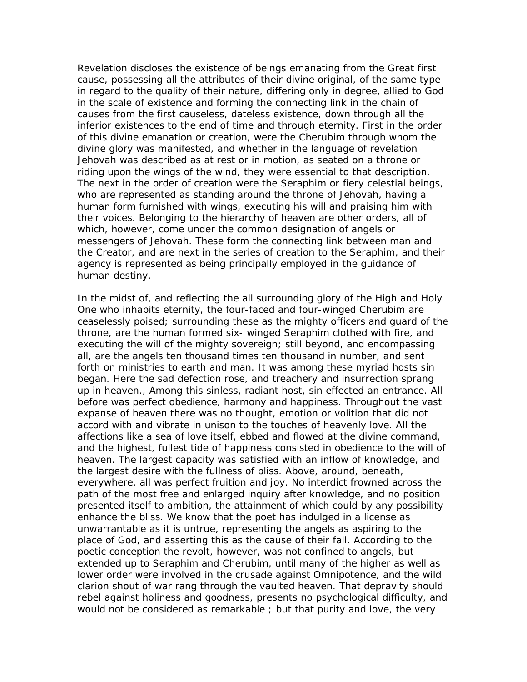Revelation discloses the existence of beings emanating from the Great first cause, possessing all the attributes of their divine original, of the same type in regard to the quality of their nature, differing only in degree, allied to God in the scale of existence and forming the connecting link in the chain of causes from the first causeless, dateless existence, down through all the inferior existences to the end of time and through eternity. First in the order of this divine emanation or creation, were the Cherubim through whom the divine glory was manifested, and whether in the language of revelation Jehovah was described as at rest or in motion, as seated on a throne or riding upon the wings of the wind, they were essential to that description. The next in the order of creation were the Seraphim or fiery celestial beings, who are represented as standing around the throne of Jehovah, having a human form furnished with wings, executing his will and praising him with their voices. Belonging to the hierarchy of heaven are other orders, all of which, however, come under the common designation of angels or messengers of Jehovah. These form the connecting link between man and the Creator, and are next in the series of creation to the Seraphim, and their agency is represented as being principally employed in the guidance of human destiny.

In the midst of, and reflecting the all surrounding glory of the High and Holy One who inhabits eternity, the four-faced and four-winged Cherubim are ceaselessly poised; surrounding these as the mighty officers and guard of the throne, are the human formed six- winged Seraphim clothed with fire, and executing the will of the mighty sovereign; still beyond, and encompassing all, are the angels ten thousand times ten thousand in number, and sent forth on ministries to earth and man. It was among these myriad hosts sin began. Here the sad defection rose, and treachery and insurrection sprang up in heaven., Among this sinless, radiant host, sin effected an entrance. All before was perfect obedience, harmony and happiness. Throughout the vast expanse of heaven there was no thought, emotion or volition that did not accord with and vibrate in unison to the touches of heavenly love. All the affections like a sea of love itself, ebbed and flowed at the divine command, and the highest, fullest tide of happiness consisted in obedience to the will of heaven. The largest capacity was satisfied with an inflow of knowledge, and the largest desire with the fullness of bliss. Above, around, beneath, everywhere, all was perfect fruition and joy. No interdict frowned across the path of the most free and enlarged inquiry after knowledge, and no position presented itself to ambition, the attainment of which could by any possibility enhance the bliss. We know that the poet has indulged in a license as unwarrantable as it is untrue, representing the angels as aspiring to the place of God, and asserting this as the cause of their fall. According to the poetic conception the revolt, however, was not confined to angels, but extended up to Seraphim and Cherubim, until many of the higher as well as lower order were involved in the crusade against Omnipotence, and the wild clarion shout of war rang through the vaulted heaven. That depravity should rebel against holiness and goodness, presents no psychological difficulty, and would not be considered as remarkable ; but that purity and love, the very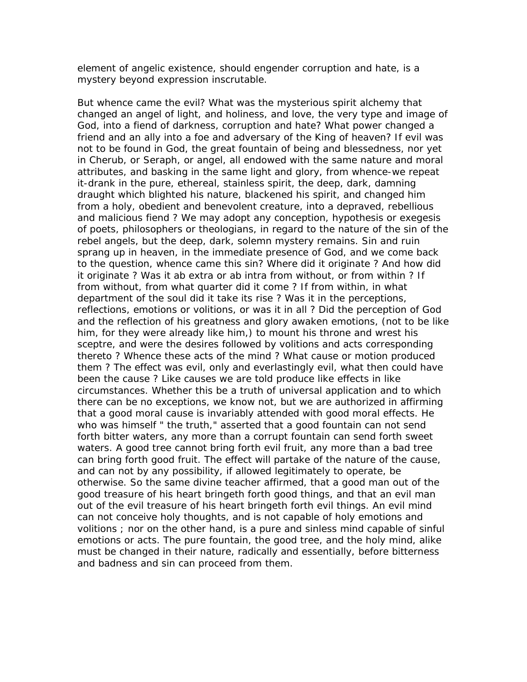element of angelic existence, should engender corruption and hate, is a mystery beyond expression inscrutable.

But whence came the evil? What was the mysterious spirit alchemy that changed an angel of light, and holiness, and love, the very type and image of God, into a fiend of darkness, corruption and hate? What power changed a friend and an ally into a foe and adversary of the King of heaven? If evil was not to be found in God, the great fountain of being and blessedness, nor yet in Cherub, or Seraph, or angel, all endowed with the same nature and moral attributes, and basking in the same light and glory, from whence-we repeat it-drank in the pure, ethereal, stainless spirit, the deep, dark, damning draught which blighted his nature, blackened his spirit, and changed him from a holy, obedient and benevolent creature, into a depraved, rebellious and malicious fiend ? We may adopt any conception, hypothesis or exegesis of poets, philosophers or theologians, in regard to the nature of the sin of the rebel angels, but the deep, dark, solemn mystery remains. Sin and ruin sprang up in heaven, in the immediate presence of God, and we come back to the question, whence came this sin? Where did it originate ? And how did it originate ? Was it ab extra or ab intra from without, or from within ? If from without, from what quarter did it come ? If from within, in what department of the soul did it take its rise ? Was it in the perceptions, reflections, emotions or volitions, or was it in all ? Did the perception of God and the reflection of his greatness and glory awaken emotions, (not to be like him, for they were already like him,) to mount his throne and wrest his sceptre, and were the desires followed by volitions and acts corresponding thereto ? Whence these acts of the mind ? What cause or motion produced them ? The effect was evil, only and everlastingly evil, what then could have been the cause ? Like causes we are told produce like effects in like circumstances. Whether this be a truth of universal application and to which there can be no exceptions, we know not, but we are authorized in affirming that a good moral cause is invariably attended with good moral effects. He who was himself " the truth," asserted that a good fountain can not send forth bitter waters, any more than a corrupt fountain can send forth sweet waters. A good tree cannot bring forth evil fruit, any more than a bad tree can bring forth good fruit. The effect will partake of the nature of the cause, and can not by any possibility, if allowed legitimately to operate, be otherwise. So the same divine teacher affirmed, that a good man out of the good treasure of his heart bringeth forth good things, and that an evil man out of the evil treasure of his heart bringeth forth evil things. An evil mind can not conceive holy thoughts, and is not capable of holy emotions and volitions ; nor on the other hand, is a pure and sinless mind capable of sinful emotions or acts. The pure fountain, the good tree, and the holy mind, alike must be changed in their nature, radically and essentially, before bitterness and badness and sin can proceed from them.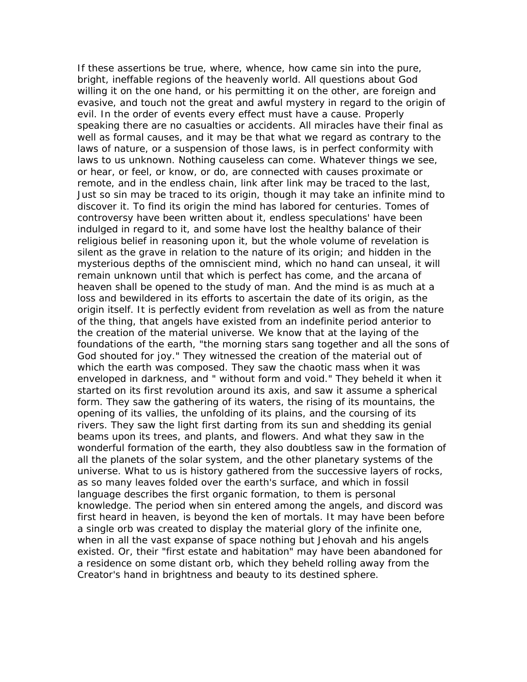If these assertions be true, where, whence, how came sin into the pure, bright, ineffable regions of the heavenly world. All questions about God willing it on the one hand, or his permitting it on the other, are foreign and evasive, and touch not the great and awful mystery in regard to the origin of evil. In the order of events every effect must have a cause. Properly speaking there are no casualties or accidents. All miracles have their final as well as formal causes, and it may be that what we regard as contrary to the laws of nature, or a suspension of those laws, is in perfect conformity with laws to us unknown. Nothing causeless can come. Whatever things we see, or hear, or feel, or know, or do, are connected with causes proximate or remote, and in the endless chain, link after link may be traced to the last, Just so sin may be traced to its origin, though it may take an infinite mind to discover it. To find its origin the mind has labored for centuries. Tomes of controversy have been written about it, endless speculations' have been indulged in regard to it, and some have lost the healthy balance of their religious belief in reasoning upon it, but the whole volume of revelation is silent as the grave in relation to the nature of its origin; and hidden in the mysterious depths of the omniscient mind, which no hand can unseal, it will remain unknown until that which is perfect has come, and the arcana of heaven shall be opened to the study of man. And the mind is as much at a loss and bewildered in its efforts to ascertain the date of its origin, as the origin itself. It is perfectly evident from revelation as well as from the nature of the thing, that angels have existed from an indefinite period anterior to the creation of the material universe. We know that at the laying of the foundations of the earth, "the morning stars sang together and all the sons of God shouted for joy." They witnessed the creation of the material out of which the earth was composed. They saw the chaotic mass when it was enveloped in darkness, and " without form and void." They beheld it when it started on its first revolution around its axis, and saw it assume a spherical form. They saw the gathering of its waters, the rising of its mountains, the opening of its vallies, the unfolding of its plains, and the coursing of its rivers. They saw the light first darting from its sun and shedding its genial beams upon its trees, and plants, and flowers. And what they saw in the wonderful formation of the earth, they also doubtless saw in the formation of all the planets of the solar system, and the other planetary systems of the universe. What to us is history gathered from the successive layers of rocks, as so many leaves folded over the earth's surface, and which in fossil language describes the first organic formation, to them is personal knowledge. The period when sin entered among the angels, and discord was first heard in heaven, is beyond the ken of mortals. It may have been before a single orb was created to display the material glory of the infinite one, when in all the vast expanse of space nothing but Jehovah and his angels existed. Or, their "first estate and habitation" may have been abandoned for a residence on some distant orb, which they beheld rolling away from the Creator's hand in brightness and beauty to its destined sphere.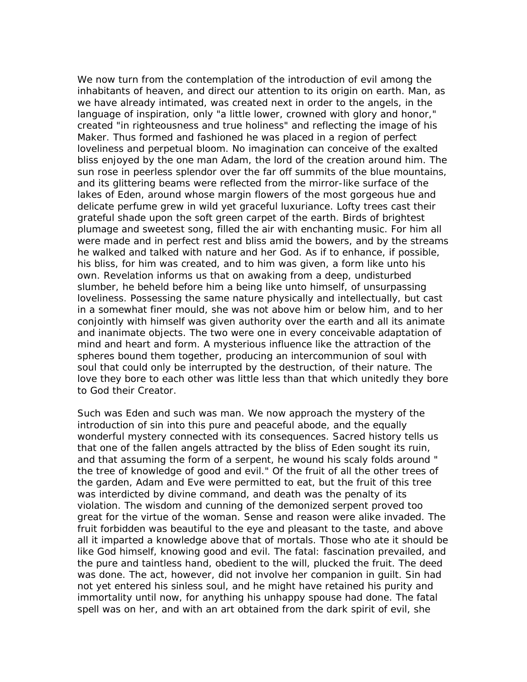We now turn from the contemplation of the introduction of evil among the inhabitants of heaven, and direct our attention to its origin on earth. Man, as we have already intimated, was created next in order to the angels, in the language of inspiration, only "a little lower, crowned with glory and honor," created "in righteousness and true holiness" and reflecting the image of his Maker. Thus formed and fashioned he was placed in a region of perfect loveliness and perpetual bloom. No imagination can conceive of the exalted bliss enjoyed by the one man Adam, the lord of the creation around him. The sun rose in peerless splendor over the far off summits of the blue mountains, and its glittering beams were reflected from the mirror-like surface of the lakes of Eden, around whose margin flowers of the most gorgeous hue and delicate perfume grew in wild yet graceful luxuriance. Lofty trees cast their grateful shade upon the soft green carpet of the earth. Birds of brightest plumage and sweetest song, filled the air with enchanting music. For him all were made and in perfect rest and bliss amid the bowers, and by the streams he walked and talked with nature and her God. As if to enhance, if possible, his bliss, for him was created, and to him was given, a form like unto his own. Revelation informs us that on awaking from a deep, undisturbed slumber, he beheld before him a being like unto himself, of unsurpassing loveliness. Possessing the same nature physically and intellectually, but cast in a somewhat finer mould, she was not above him or below him, and to her conjointly with himself was given authority over the earth and all its animate and inanimate objects. The two were one in every conceivable adaptation of mind and heart and form. A mysterious influence like the attraction of the spheres bound them together, producing an intercommunion of soul with soul that could only be interrupted by the destruction, of their nature. The love they bore to each other was little less than that which unitedly they bore to God their Creator.

Such was Eden and such was man. We now approach the mystery of the introduction of sin into this pure and peaceful abode, and the equally wonderful mystery connected with its consequences. Sacred history tells us that one of the fallen angels attracted by the bliss of Eden sought its ruin, and that assuming the form of a serpent, he wound his scaly folds around " the tree of knowledge of good and evil." Of the fruit of all the other trees of the garden, Adam and Eve were permitted to eat, but the fruit of this tree was interdicted by divine command, and death was the penalty of its violation. The wisdom and cunning of the demonized serpent proved too great for the virtue of the woman. Sense and reason were alike invaded. The fruit forbidden was beautiful to the eye and pleasant to the taste, and above all it imparted a knowledge above that of mortals. Those who ate it should be like God himself, knowing good and evil. The fatal: fascination prevailed, and the pure and taintless hand, obedient to the will, plucked the fruit. The deed was done. The act, however, did not involve her companion in guilt. Sin had not yet entered his sinless soul, and he might have retained his purity and immortality until now, for anything his unhappy spouse had done. The fatal spell was on her, and with an art obtained from the dark spirit of evil, she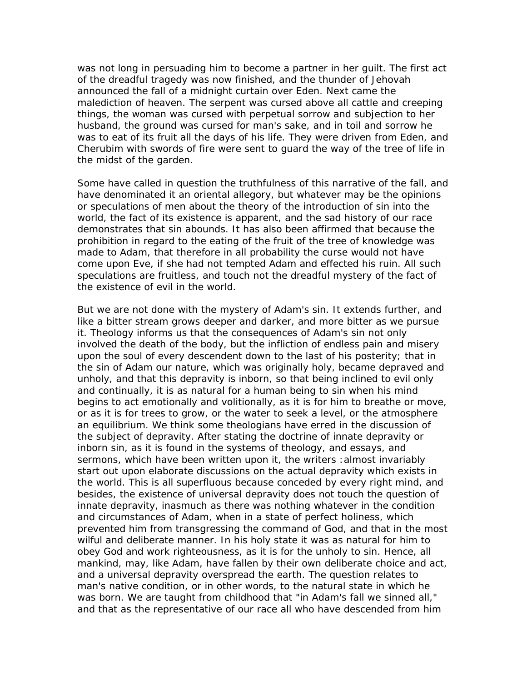was not long in persuading him to become a partner in her guilt. The first act of the dreadful tragedy was now finished, and the thunder of Jehovah announced the fall of a midnight curtain over Eden. Next came the malediction of heaven. The serpent was cursed above all cattle and creeping things, the woman was cursed with perpetual sorrow and subjection to her husband, the ground was cursed for man's sake, and in toil and sorrow he was to eat of its fruit all the days of his life. They were driven from Eden, and Cherubim with swords of fire were sent to guard the way of the tree of life in the midst of the garden.

Some have called in question the truthfulness of this narrative of the fall, and have denominated it an oriental allegory, but whatever may be the opinions or speculations of men about the theory of the introduction of sin into the world, the fact of its existence is apparent, and the sad history of our race demonstrates that sin abounds. It has also been affirmed that because the prohibition in regard to the eating of the fruit of the tree of knowledge was made to Adam, that therefore in all probability the curse would not have come upon Eve, if she had not tempted Adam and effected his ruin. All such speculations are fruitless, and touch not the dreadful mystery of the fact of the existence of evil in the world.

But we are not done with the mystery of Adam's sin. It extends further, and like a bitter stream grows deeper and darker, and more bitter as we pursue it. Theology informs us that the consequences of Adam's sin not only involved the death of the body, but the infliction of endless pain and misery upon the soul of every descendent down to the last of his posterity; that in the sin of Adam our nature, which was originally holy, became depraved and unholy, and that this depravity is inborn, so that being inclined to evil only and continually, it is as natural for a human being to sin when his mind begins to act emotionally and volitionally, as it is for him to breathe or move, or as it is for trees to grow, or the water to seek a level, or the atmosphere an equilibrium. We think some theologians have erred in the discussion of the subject of depravity. After stating the doctrine of innate depravity or inborn sin, as it is found in the systems of theology, and essays, and sermons, which have been written upon it, the writers :almost invariably start out upon elaborate discussions on the actual depravity which exists in the world. This is all superfluous because conceded by every right mind, and besides, the existence of universal depravity does not touch the question of innate depravity, inasmuch as there was nothing whatever in the condition and circumstances of Adam, when in a state of perfect holiness, which prevented him from transgressing the command of God, and that in the most wilful and deliberate manner. In his holy state it was as natural for him to obey God and work righteousness, as it is for the unholy to sin. Hence, all mankind, may, like Adam, have fallen by their own deliberate choice and act, and a universal depravity overspread the earth. The question relates to man's native condition, or in other words, to the natural state in which he was born. We are taught from childhood that "in Adam's fall we sinned all," and that as the representative of our race all who have descended from him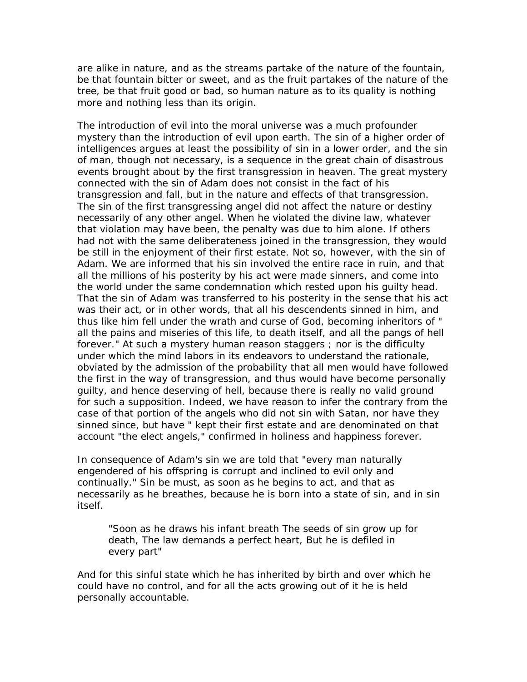are alike in nature, and as the streams partake of the nature of the fountain, be that fountain bitter or sweet, and as the fruit partakes of the nature of the tree, be that fruit good or bad, so human nature as to its quality is nothing more and nothing less than its origin.

The introduction of evil into the moral universe was a much profounder mystery than the introduction of evil upon earth. The sin of a higher order of intelligences argues at least the possibility of sin in a lower order, and the sin of man, though not necessary, is a sequence in the great chain of disastrous events brought about by the first transgression in heaven. The great mystery connected with the sin of Adam does not consist in the fact of his transgression and fall, but in the nature and effects of that transgression. The sin of the first transgressing angel did not affect the nature or destiny necessarily of any other angel. When he violated the divine law, whatever that violation may have been, the penalty was due to him alone. If others had not with the same deliberateness joined in the transgression, they would be still in the enjoyment of their first estate. Not so, however, with the sin of Adam. We are informed that his sin involved the entire race in ruin, and that all the millions of his posterity by his act were made sinners, and come into the world under the same condemnation which rested upon his guilty head. That the sin of Adam was transferred to his posterity in the sense that his act was their act, or in other words, that all his descendents sinned in him, and thus like him fell under the wrath and curse of God, becoming inheritors of " all the pains and miseries of this life, to death itself, and all the pangs of hell forever." At such a mystery human reason staggers ; nor is the difficulty under which the mind labors in its endeavors to understand the rationale, obviated by the admission of the probability that all men would have followed the first in the way of transgression, and thus would have become personally guilty, and hence deserving of hell, because there is really no valid ground for such a supposition. Indeed, we have reason to infer the contrary from the case of that portion of the angels who did not sin with Satan, nor have they sinned since, but have " kept their first estate and are denominated on that account "the elect angels," confirmed in holiness and happiness forever.

In consequence of Adam's sin we are told that "every man naturally engendered of his offspring is corrupt and inclined to evil only and continually." Sin be must, as soon as he begins to act, and that as necessarily as he breathes, because he is born into a state of sin, and in sin itself.

"Soon as he draws his infant breath The seeds of sin grow up for death, The law demands a perfect heart, But he is defiled in every part"

And for this sinful state which he has inherited by birth and over which he could have no control, and for all the acts growing out of it he is held personally accountable.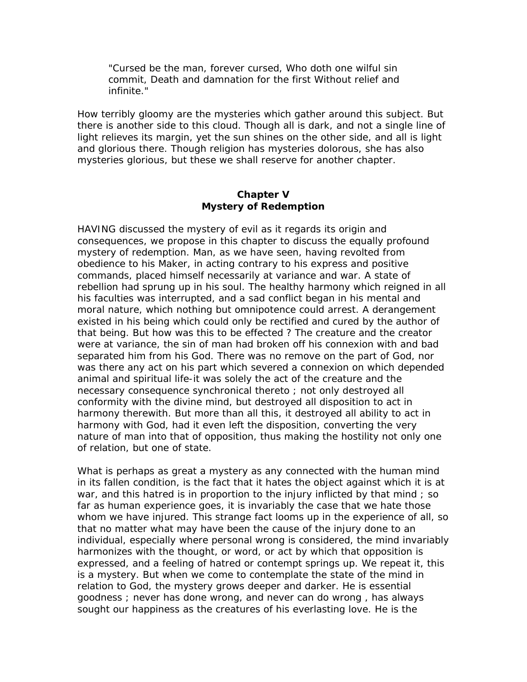"Cursed be the man, forever cursed, Who doth one wilful sin commit, Death and damnation for the first Without relief and infinite."

How terribly gloomy are the mysteries which gather around this subject. But there is another side to this cloud. Though all is dark, and not a single line of light relieves its margin, yet the sun shines on the other side, and all is light and glorious there. Though religion has mysteries dolorous, she has also mysteries glorious, but these we shall reserve for another chapter.

## **Chapter V Mystery of Redemption**

HAVING discussed the mystery of evil as it regards its origin and consequences, we propose in this chapter to discuss the equally profound mystery of redemption. Man, as we have seen, having revolted from obedience to his Maker, in acting contrary to his express and positive commands, placed himself necessarily at variance and war. A state of rebellion had sprung up in his soul. The healthy harmony which reigned in all his faculties was interrupted, and a sad conflict began in his mental and moral nature, which nothing but omnipotence could arrest. A derangement existed in his being which could only be rectified and cured by the author of that being. But how was this to be effected ? The creature and the creator were at variance, the sin of man had broken off his connexion with and bad separated him from his God. There was no remove on the part of God, nor was there any act on his part which severed a connexion on which depended animal and spiritual life-it was solely the act of the creature and the necessary consequence synchronical thereto ; not only destroyed all conformity with the divine mind, but destroyed all disposition to act in harmony therewith. But more than all this, it destroyed all ability to act in harmony with God, had it even left the disposition, converting the very nature of man into that of opposition, thus making the hostility not only one of relation, but one of state.

What is perhaps as great a mystery as any connected with the human mind in its fallen condition, is the fact that it hates the object against which it is at war, and this hatred is in proportion to the injury inflicted by that mind ; so far as human experience goes, it is invariably the case that we hate those whom we have injured. This strange fact looms up in the experience of all, so that no matter what may have been the cause of the injury done to an individual, especially where personal wrong is considered, the mind invariably harmonizes with the thought, or word, or act by which that opposition is expressed, and a feeling of hatred or contempt springs up. We repeat it, this is a mystery. But when we come to contemplate the state of the mind in relation to God, the mystery grows deeper and darker. He is essential goodness ; never has done wrong, and never can do wrong , has always sought our happiness as the creatures of his everlasting love. He is the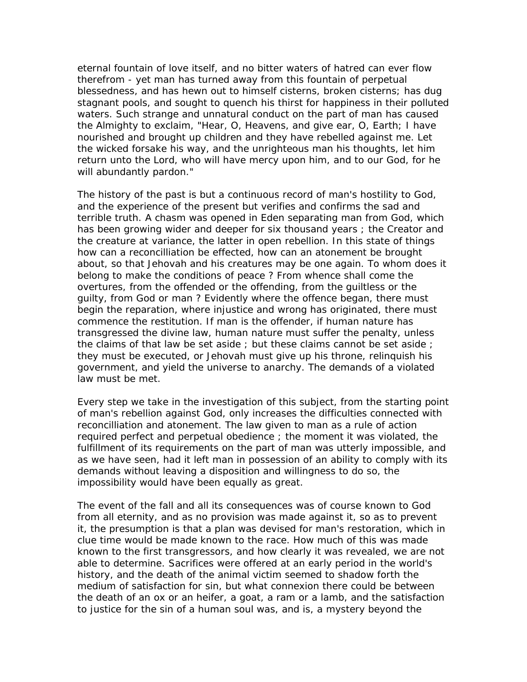eternal fountain of love itself, and no bitter waters of hatred can ever flow therefrom - yet man has turned away from this fountain of perpetual blessedness, and has hewn out to himself cisterns, broken cisterns; has dug stagnant pools, and sought to quench his thirst for happiness in their polluted waters. Such strange and unnatural conduct on the part of man has caused the Almighty to exclaim, "Hear, O, Heavens, and give ear, O, Earth; I have nourished and brought up children and they have rebelled against me. Let the wicked forsake his way, and the unrighteous man his thoughts, let him return unto the Lord, who will have mercy upon him, and to our God, for he will abundantly pardon."

The history of the past is but a continuous record of man's hostility to God, and the experience of the present but verifies and confirms the sad and terrible truth. A chasm was opened in Eden separating man from God, which has been growing wider and deeper for six thousand years ; the Creator and the creature at variance, the latter in open rebellion. In this state of things how can a reconcilliation be effected, how can an atonement be brought about, so that Jehovah and his creatures may be one again. To whom does it belong to make the conditions of peace ? From whence shall come the overtures, from the offended or the offending, from the guiltless or the guilty, from God or man ? Evidently where the offence began, there must begin the reparation, where injustice and wrong has originated, there must commence the restitution. If man is the offender, if human nature has transgressed the divine law, human nature must suffer the penalty, unless the claims of that law be set aside ; but these claims cannot be set aside ; they must be executed, or Jehovah must give up his throne, relinquish his government, and yield the universe to anarchy. The demands of a violated law must be met.

Every step we take in the investigation of this subject, from the starting point of man's rebellion against God, only increases the difficulties connected with reconcilliation and atonement. The law given to man as a rule of action required perfect and perpetual obedience ; the moment it was violated, the fulfillment of its requirements on the part of man was utterly impossible, and as we have seen, had it left man in possession of an ability to comply with its demands without leaving a disposition and willingness to do so, the impossibility would have been equally as great.

The event of the fall and all its consequences was of course known to God from all eternity, and as no provision was made against it, so as to prevent it, the presumption is that a plan was devised for man's restoration, which in clue time would be made known to the race. How much of this was made known to the first transgressors, and how clearly it was revealed, we are not able to determine. Sacrifices were offered at an early period in the world's history, and the death of the animal victim seemed to shadow forth the medium of satisfaction for sin, but what connexion there could be between the death of an ox or an heifer, a goat, a ram or a lamb, and the satisfaction to justice for the sin of a human soul was, and is, a mystery beyond the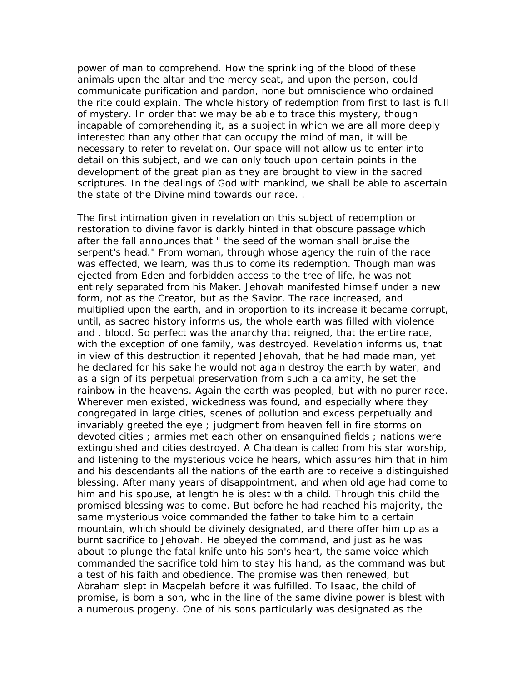power of man to comprehend. How the sprinkling of the blood of these animals upon the altar and the mercy seat, and upon the person, could communicate purification and pardon, none but omniscience who ordained the rite could explain. The whole history of redemption from first to last is full of mystery. In order that we may be able to trace this mystery, though incapable of comprehending it, as a subject in which we are all more deeply interested than any other that can occupy the mind of man, it will be necessary to refer to revelation. Our space will not allow us to enter into detail on this subject, and we can only touch upon certain points in the development of the great plan as they are brought to view in the sacred scriptures. In the dealings of God with mankind, we shall be able to ascertain the state of the Divine mind towards our race. .

The first intimation given in revelation on this subject of redemption or restoration to divine favor is darkly hinted in that obscure passage which after the fall announces that " the seed of the woman shall bruise the serpent's head." From woman, through whose agency the ruin of the race was effected, we learn, was thus to come its redemption. Though man was ejected from Eden and forbidden access to the tree of life, he was not entirely separated from his Maker. Jehovah manifested himself under a new form, not as the Creator, but as the Savior. The race increased, and multiplied upon the earth, and in proportion to its increase it became corrupt, until, as sacred history informs us, the whole earth was filled with violence and . blood. So perfect was the anarchy that reigned, that the entire race, with the exception of one family, was destroyed. Revelation informs us, that in view of this destruction it repented Jehovah, that he had made man, yet he declared for his sake he would not again destroy the earth by water, and as a sign of its perpetual preservation from such a calamity, he set the rainbow in the heavens. Again the earth was peopled, but with no purer race. Wherever men existed, wickedness was found, and especially where they congregated in large cities, scenes of pollution and excess perpetually and invariably greeted the eye ; judgment from heaven fell in fire storms on devoted cities ; armies met each other on ensanguined fields ; nations were extinguished and cities destroyed. A Chaldean is called from his star worship, and listening to the mysterious voice he hears, which assures him that in him and his descendants all the nations of the earth are to receive a distinguished blessing. After many years of disappointment, and when old age had come to him and his spouse, at length he is blest with a child. Through this child the promised blessing was to come. But before he had reached his majority, the same mysterious voice commanded the father to take him to a certain mountain, which should be divinely designated, and there offer him up as a burnt sacrifice to Jehovah. He obeyed the command, and just as he was about to plunge the fatal knife unto his son's heart, the same voice which commanded the sacrifice told him to stay his hand, as the command was but a test of his faith and obedience. The promise was then renewed, but Abraham slept in Macpelah before it was fulfilled. To Isaac, the child of promise, is born a son, who in the line of the same divine power is blest with a numerous progeny. One of his sons particularly was designated as the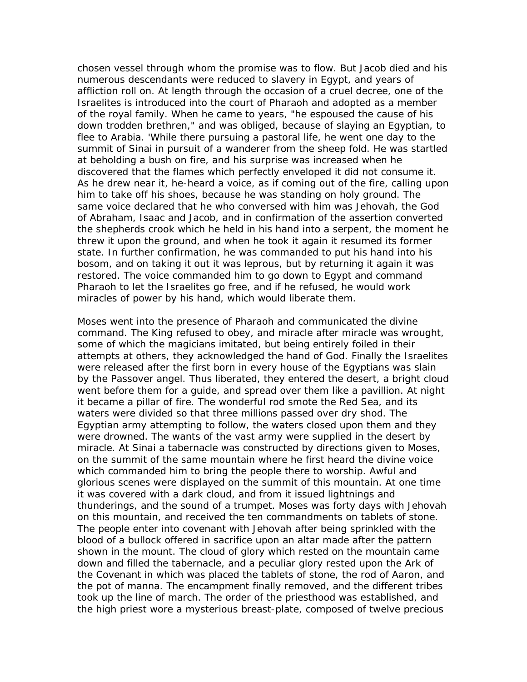chosen vessel through whom the promise was to flow. But Jacob died and his numerous descendants were reduced to slavery in Egypt, and years of affliction roll on. At length through the occasion of a cruel decree, one of the Israelites is introduced into the court of Pharaoh and adopted as a member of the royal family. When he came to years, "he espoused the cause of his down trodden brethren," and was obliged, because of slaying an Egyptian, to flee to Arabia. 'While there pursuing a pastoral life, he went one day to the summit of Sinai in pursuit of a wanderer from the sheep fold. He was startled at beholding a bush on fire, and his surprise was increased when he discovered that the flames which perfectly enveloped it did not consume it. As he drew near it, he-heard a voice, as if coming out of the fire, calling upon him to take off his shoes, because he was standing on holy ground. The same voice declared that he who conversed with him was Jehovah, the God of Abraham, Isaac and Jacob, and in confirmation of the assertion converted the shepherds crook which he held in his hand into a serpent, the moment he threw it upon the ground, and when he took it again it resumed its former state. In further confirmation, he was commanded to put his hand into his bosom, and on taking it out it was leprous, but by returning it again it was restored. The voice commanded him to go down to Egypt and command Pharaoh to let the Israelites go free, and if he refused, he would work miracles of power by his hand, which would liberate them.

Moses went into the presence of Pharaoh and communicated the divine command. The King refused to obey, and miracle after miracle was wrought, some of which the magicians imitated, but being entirely foiled in their attempts at others, they acknowledged the hand of God. Finally the Israelites were released after the first born in every house of the Egyptians was slain by the Passover angel. Thus liberated, they entered the desert, a bright cloud went before them for a guide, and spread over them like a pavillion. At night it became a pillar of fire. The wonderful rod smote the Red Sea, and its waters were divided so that three millions passed over dry shod. The Egyptian army attempting to follow, the waters closed upon them and they were drowned. The wants of the vast army were supplied in the desert by miracle. At Sinai a tabernacle was constructed by directions given to Moses, on the summit of the same mountain where he first heard the divine voice which commanded him to bring the people there to worship. Awful and glorious scenes were displayed on the summit of this mountain. At one time it was covered with a dark cloud, and from it issued lightnings and thunderings, and the sound of a trumpet. Moses was forty days with Jehovah on this mountain, and received the ten commandments on tablets of stone. The people enter into covenant with Jehovah after being sprinkled with the blood of a bullock offered in sacrifice upon an altar made after the pattern shown in the mount. The cloud of glory which rested on the mountain came down and filled the tabernacle, and a peculiar glory rested upon the Ark of the Covenant in which was placed the tablets of stone, the rod of Aaron, and the pot of manna. The encampment finally removed, and the different tribes took up the line of march. The order of the priesthood was established, and the high priest wore a mysterious breast-plate, composed of twelve precious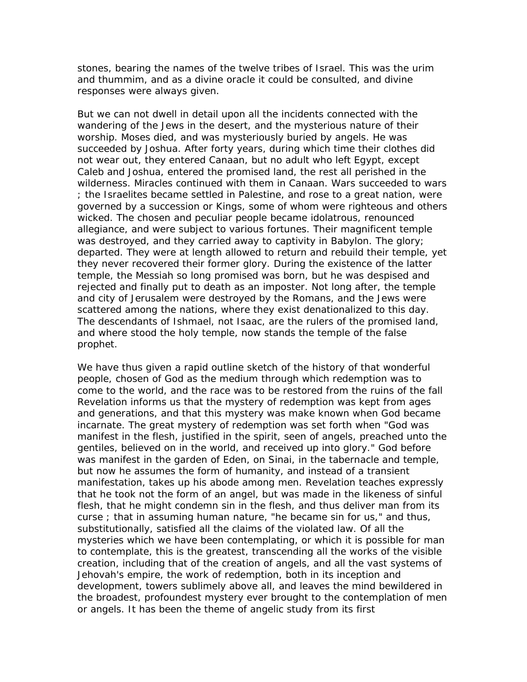stones, bearing the names of the twelve tribes of Israel. This was the urim and thummim, and as a divine oracle it could be consulted, and divine responses were always given.

But we can not dwell in detail upon all the incidents connected with the wandering of the Jews in the desert, and the mysterious nature of their worship. Moses died, and was mysteriously buried by angels. He was succeeded by Joshua. After forty years, during which time their clothes did not wear out, they entered Canaan, but no adult who left Egypt, except Caleb and Joshua, entered the promised land, the rest all perished in the wilderness. Miracles continued with them in Canaan. Wars succeeded to wars ; the Israelites became settled in Palestine, and rose to a great nation, were governed by a succession or Kings, some of whom were righteous and others wicked. The chosen and peculiar people became idolatrous, renounced allegiance, and were subject to various fortunes. Their magnificent temple was destroyed, and they carried away to captivity in Babylon. The glory; departed. They were at length allowed to return and rebuild their temple, yet they never recovered their former glory. During the existence of the latter temple, the Messiah so long promised was born, but he was despised and rejected and finally put to death as an imposter. Not long after, the temple and city of Jerusalem were destroyed by the Romans, and the Jews were scattered among the nations, where they exist denationalized to this day. The descendants of Ishmael, not Isaac, are the rulers of the promised land, and where stood the holy temple, now stands the temple of the false prophet.

We have thus given a rapid outline sketch of the history of that wonderful people, chosen of God as the medium through which redemption was to come to the world, and the race was to be restored from the ruins of the fall Revelation informs us that the mystery of redemption was kept from ages and generations, and that this mystery was make known when God became incarnate. The great mystery of redemption was set forth when "God was manifest in the flesh, justified in the spirit, seen of angels, preached unto the gentiles, believed on in the world, and received up into glory." God before was manifest in the garden of Eden, on Sinai, in the tabernacle and temple, but now he assumes the form of humanity, and instead of a transient manifestation, takes up his abode among men. Revelation teaches expressly that he took not the form of an angel, but was made in the likeness of sinful flesh, that he might condemn sin in the flesh, and thus deliver man from its curse ; that in assuming human nature, "he became sin for us," and thus, substitutionally, satisfied all the claims of the violated law. Of all the mysteries which we have been contemplating, or which it is possible for man to contemplate, this is the greatest, transcending all the works of the visible creation, including that of the creation of angels, and all the vast systems of Jehovah's empire, the work of redemption, both in its inception and development, towers sublimely above all, and leaves the mind bewildered in the broadest, profoundest mystery ever brought to the contemplation of men or angels. It has been the theme of angelic study from its first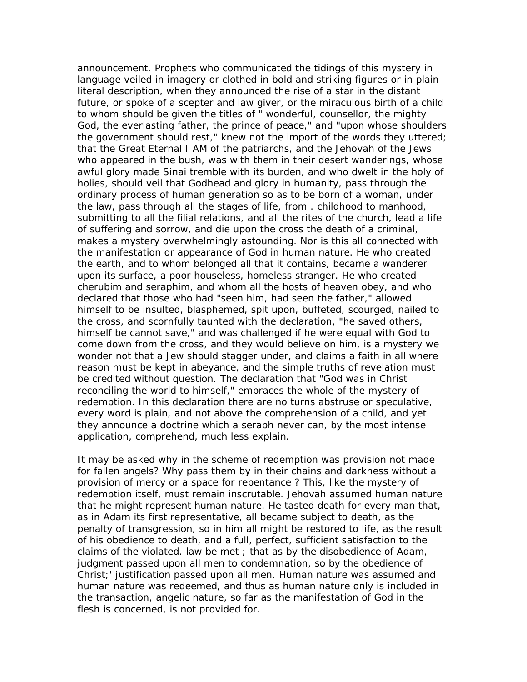announcement. Prophets who communicated the tidings of this mystery in language veiled in imagery or clothed in bold and striking figures or in plain literal description, when they announced the rise of a star in the distant future, or spoke of a scepter and law giver, or the miraculous birth of a child to whom should be given the titles of " wonderful, counsellor, the mighty God, the everlasting father, the prince of peace," and "upon whose shoulders the government should rest," knew not the import of the words they uttered; that the Great Eternal I AM of the patriarchs, and the Jehovah of the Jews who appeared in the bush, was with them in their desert wanderings, whose awful glory made Sinai tremble with its burden, and who dwelt in the holy of holies, should veil that Godhead and glory in humanity, pass through the ordinary process of human generation so as to be born of a woman, under the law, pass through all the stages of life, from . childhood to manhood, submitting to all the filial relations, and all the rites of the church, lead a life of suffering and sorrow, and die upon the cross the death of a criminal, makes a mystery overwhelmingly astounding. Nor is this all connected with the manifestation or appearance of God in human nature. He who created the earth, and to whom belonged all that it contains, became a wanderer upon its surface, a poor houseless, homeless stranger. He who created cherubim and seraphim, and whom all the hosts of heaven obey, and who declared that those who had "seen him, had seen the father," allowed himself to be insulted, blasphemed, spit upon, buffeted, scourged, nailed to the cross, and scornfully taunted with the declaration, "he saved others, himself be cannot save," and was challenged if he were equal with God to come down from the cross, and they would believe on him, is a mystery we wonder not that a Jew should stagger under, and claims a faith in all where reason must be kept in abeyance, and the simple truths of revelation must be credited without question. The declaration that "God was in Christ reconciling the world to himself," embraces the whole of the mystery of redemption. In this declaration there are no turns abstruse or speculative, every word is plain, and not above the comprehension of a child, and yet they announce a doctrine which a seraph never can, by the most intense application, comprehend, much less explain.

It may be asked why in the scheme of redemption was provision not made for fallen angels? Why pass them by in their chains and darkness without a provision of mercy or a space for repentance ? This, like the mystery of redemption itself, must remain inscrutable. Jehovah assumed human nature that he might represent human nature. He tasted death for every man that, as in Adam its first representative, all became subject to death, as the penalty of transgression, so in him all might be restored to life, as the result of his obedience to death, and a full, perfect, sufficient satisfaction to the claims of the violated. law be met ; that as by the disobedience of Adam, judgment passed upon all men to condemnation, so by the obedience of Christ;' justification passed upon all men. Human nature was assumed and human nature was redeemed, and thus as human nature only is included in the transaction, angelic nature, so far as the manifestation of God in the flesh is concerned, is not provided for.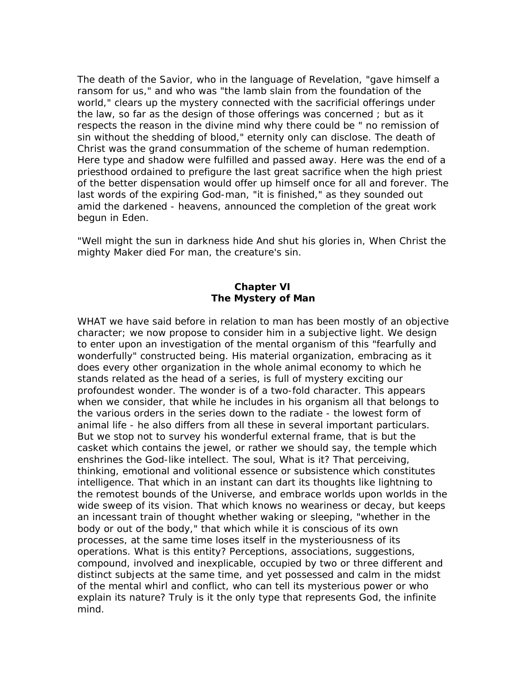The death of the Savior, who in the language of Revelation, "gave himself a ransom for us," and who was "the lamb slain from the foundation of the world," clears up the mystery connected with the sacrificial offerings under the law, so far as the design of those offerings was concerned ; but as it respects the reason in the divine mind why there could be " no remission of sin without the shedding of blood," eternity only can disclose. The death of Christ was the grand consummation of the scheme of human redemption. Here type and shadow were fulfilled and passed away. Here was the end of a priesthood ordained to prefigure the last great sacrifice when the high priest of the better dispensation would offer up himself once for all and forever. The last words of the expiring God-man, "it is finished," as they sounded out amid the darkened - heavens, announced the completion of the great work begun in Eden.

"Well might the sun in darkness hide And shut his glories in, When Christ the mighty Maker died For man, the creature's sin.

## **Chapter VI The Mystery of Man**

WHAT we have said before in relation to man has been mostly of an objective character; we now propose to consider him in a subjective light. We design to enter upon an investigation of the mental organism of this "fearfully and wonderfully" constructed being. His material organization, embracing as it does every other organization in the whole animal economy to which he stands related as the head of a series, is full of mystery exciting our profoundest wonder. The wonder is of a two-fold character. This appears when we consider, that while he includes in his organism all that belongs to the various orders in the series down to the radiate - the lowest form of animal life - he also differs from all these in several important particulars. But we stop not to survey his wonderful external frame, that is but the casket which contains the jewel, or rather we should say, the temple which enshrines the God-like intellect. The soul, What is it? That perceiving, thinking, emotional and volitional essence or subsistence which constitutes intelligence. That which in an instant can dart its thoughts like lightning to the remotest bounds of the Universe, and embrace worlds upon worlds in the wide sweep of its vision. That which knows no weariness or decay, but keeps an incessant train of thought whether waking or sleeping, "whether in the body or out of the body," that which while it is conscious of its own processes, at the same time loses itself in the mysteriousness of its operations. What is this entity? Perceptions, associations, suggestions, compound, involved and inexplicable, occupied by two or three different and distinct subjects at the same time, and yet possessed and calm in the midst of the mental whirl and conflict, who can tell its mysterious power or who explain its nature? Truly is it the only type that represents God, the infinite mind.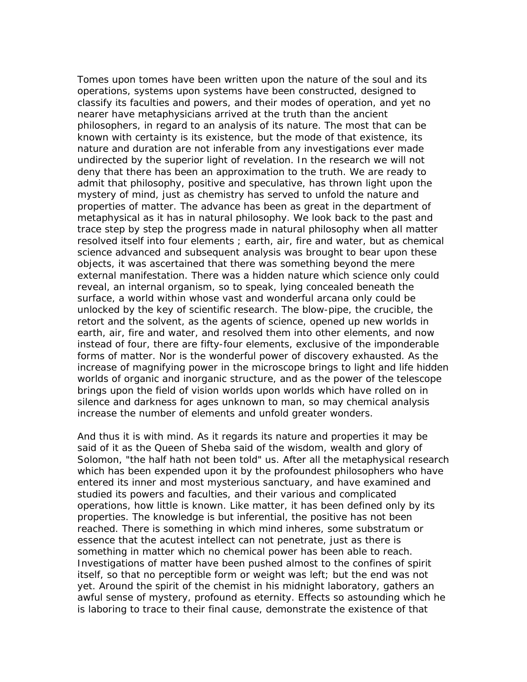Tomes upon tomes have been written upon the nature of the soul and its operations, systems upon systems have been constructed, designed to classify its faculties and powers, and their modes of operation, and yet no nearer have metaphysicians arrived at the truth than the ancient philosophers, in regard to an analysis of its nature. The most that can be known with certainty is its existence, but the mode of that existence, its nature and duration are not inferable from any investigations ever made undirected by the superior light of revelation. In the research we will not deny that there has been an approximation to the truth. We are ready to admit that philosophy, positive and speculative, has thrown light upon the mystery of mind, just as chemistry has served to unfold the nature and properties of matter. The advance has been as great in the department of metaphysical as it has in natural philosophy. We look back to the past and trace step by step the progress made in natural philosophy when all matter resolved itself into four elements ; earth, air, fire and water, but as chemical science advanced and subsequent analysis was brought to bear upon these objects, it was ascertained that there was something beyond the mere external manifestation. There was a hidden nature which science only could reveal, an internal organism, so to speak, lying concealed beneath the surface, a world within whose vast and wonderful arcana only could be unlocked by the key of scientific research. The blow-pipe, the crucible, the retort and the solvent, as the agents of science, opened up new worlds in earth, air, fire and water, and resolved them into other elements, and now instead of four, there are fifty-four elements, exclusive of the imponderable forms of matter. Nor is the wonderful power of discovery exhausted. As the increase of magnifying power in the microscope brings to light and life hidden worlds of organic and inorganic structure, and as the power of the telescope brings upon the field of vision worlds upon worlds which have rolled on in silence and darkness for ages unknown to man, so may chemical analysis increase the number of elements and unfold greater wonders.

And thus it is with mind. As it regards its nature and properties it may be said of it as the Queen of Sheba said of the wisdom, wealth and glory of Solomon, "the half hath not been told" us. After all the metaphysical research which has been expended upon it by the profoundest philosophers who have entered its inner and most mysterious sanctuary, and have examined and studied its powers and faculties, and their various and complicated operations, how little is known. Like matter, it has been defined only by its properties. The knowledge is but inferential, the positive has not been reached. There is something in which mind inheres, some substratum or essence that the acutest intellect can not penetrate, just as there is something in matter which no chemical power has been able to reach. Investigations of matter have been pushed almost to the confines of spirit itself, so that no perceptible form or weight was left; but the end was not yet. Around the spirit of the chemist in his midnight laboratory, gathers an awful sense of mystery, profound as eternity. Effects so astounding which he is laboring to trace to their final cause, demonstrate the existence of that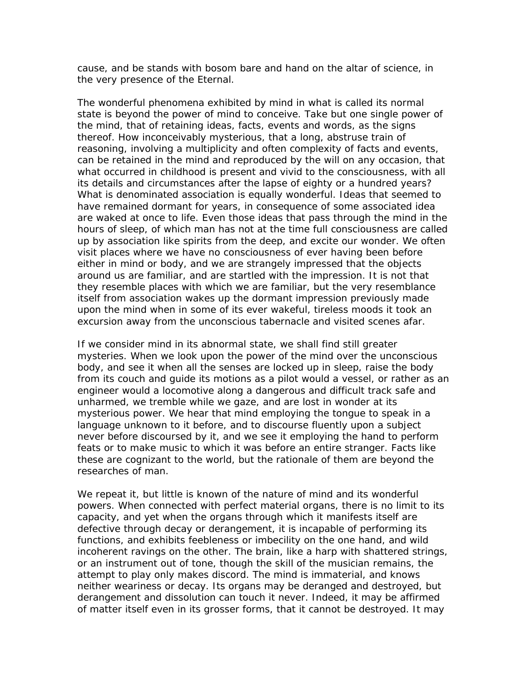cause, and be stands with bosom bare and hand on the altar of science, in the very presence of the Eternal.

The wonderful phenomena exhibited by mind in what is called its normal state is beyond the power of mind to conceive. Take but one single power of the mind, that of retaining ideas, facts, events and words, as the signs thereof. How inconceivably mysterious, that a long, abstruse train of reasoning, involving a multiplicity and often complexity of facts and events, can be retained in the mind and reproduced by the will on any occasion, that what occurred in childhood is present and vivid to the consciousness, with all its details and circumstances after the lapse of eighty or a hundred years? What is denominated association is equally wonderful. Ideas that seemed to have remained dormant for years, in consequence of some associated idea are waked at once to life. Even those ideas that pass through the mind in the hours of sleep, of which man has not at the time full consciousness are called up by association like spirits from the deep, and excite our wonder. We often visit places where we have no consciousness of ever having been before either in mind or body, and we are strangely impressed that the objects around us are familiar, and are startled with the impression. It is not that they resemble places with which we are familiar, but the very resemblance itself from association wakes up the dormant impression previously made upon the mind when in some of its ever wakeful, tireless moods it took an excursion away from the unconscious tabernacle and visited scenes afar.

If we consider mind in its abnormal state, we shall find still greater mysteries. When we look upon the power of the mind over the unconscious body, and see it when all the senses are locked up in sleep, raise the body from its couch and guide its motions as a pilot would a vessel, or rather as an engineer would a locomotive along a dangerous and difficult track safe and unharmed, we tremble while we gaze, and are lost in wonder at its mysterious power. We hear that mind employing the tongue to speak in a language unknown to it before, and to discourse fluently upon a subject never before discoursed by it, and we see it employing the hand to perform feats or to make music to which it was before an entire stranger. Facts like these are cognizant to the world, but the rationale of them are beyond the researches of man.

We repeat it, but little is known of the nature of mind and its wonderful powers. When connected with perfect material organs, there is no limit to its capacity, and yet when the organs through which it manifests itself are defective through decay or derangement, it is incapable of performing its functions, and exhibits feebleness or imbecility on the one hand, and wild incoherent ravings on the other. The brain, like a harp with shattered strings, or an instrument out of tone, though the skill of the musician remains, the attempt to play only makes discord. The mind is immaterial, and knows neither weariness or decay. Its organs may be deranged and destroyed, but derangement and dissolution can touch it never. Indeed, it may be affirmed of matter itself even in its grosser forms, that it cannot be destroyed. It may